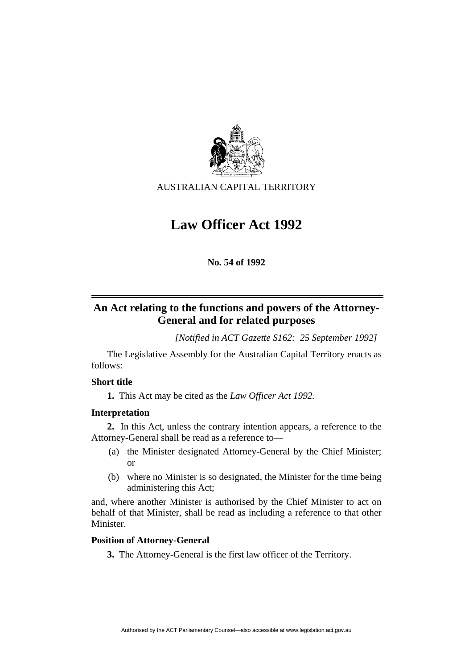

AUSTRALIAN CAPITAL TERRITORY

# **Law Officer Act 1992**

**No. 54 of 1992** 

## **An Act relating to the functions and powers of the Attorney-General and for related purposes**

*[Notified in ACT Gazette S162: 25 September 1992]*

 The Legislative Assembly for the Australian Capital Territory enacts as follows:

## **Short title**

**1.** This Act may be cited as the *Law Officer Act 1992.*

## **Interpretation**

**2.** In this Act, unless the contrary intention appears, a reference to the Attorney-General shall be read as a reference to—

- (a) the Minister designated Attorney-General by the Chief Minister; or
- (b) where no Minister is so designated, the Minister for the time being administering this Act;

and, where another Minister is authorised by the Chief Minister to act on behalf of that Minister, shall be read as including a reference to that other Minister.

## **Position of Attorney-General**

**3.** The Attorney-General is the first law officer of the Territory.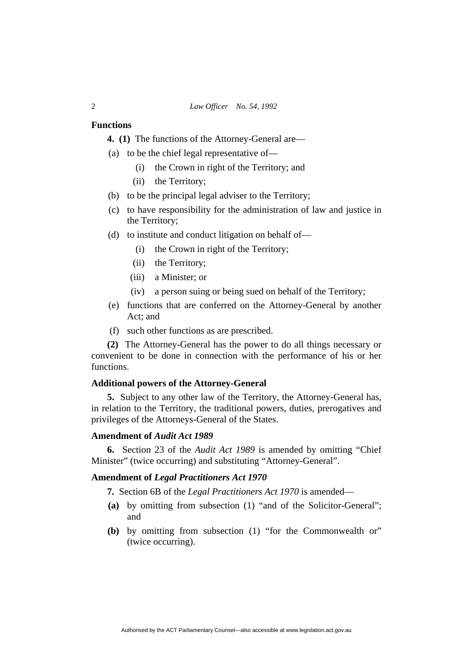#### **Functions**

**4. (1)** The functions of the Attorney-General are—

- (a) to be the chief legal representative of—
	- (i) the Crown in right of the Territory; and
	- (ii) the Territory;
- (b) to be the principal legal adviser to the Territory;
- (c) to have responsibility for the administration of law and justice in the Territory;
- (d) to institute and conduct litigation on behalf of—
	- (i) the Crown in right of the Territory;
	- (ii) the Territory;
	- (iii) a Minister; or
	- (iv) a person suing or being sued on behalf of the Territory;
- (e) functions that are conferred on the Attorney-General by another Act; and
- (f) such other functions as are prescribed.

**(2)** The Attorney-General has the power to do all things necessary or convenient to be done in connection with the performance of his or her functions.

#### **Additional powers of the Attorney-General**

**5.** Subject to any other law of the Territory, the Attorney-General has, in relation to the Territory, the traditional powers, duties, prerogatives and privileges of the Attorneys-General of the States.

#### **Amendment of** *Audit Act 1989*

**6.** Section 23 of the *Audit Act 1989* is amended by omitting "Chief Minister" (twice occurring) and substituting "Attorney-General".

#### **Amendment of** *Legal Practitioners Act 1970*

**7.** Section 6B of the *Legal Practitioners Act 1970* is amended—

- **(a)** by omitting from subsection (1) "and of the Solicitor-General"; and
- **(b)** by omitting from subsection (1) "for the Commonwealth or" (twice occurring).